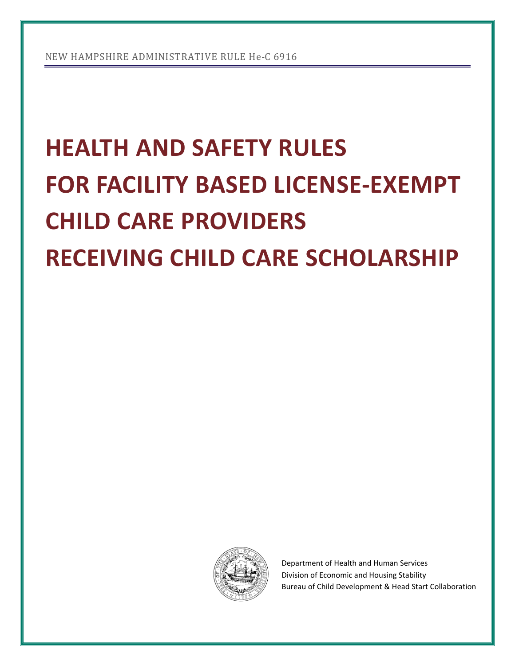# **HEALTH AND SAFETY RULES FOR FACILITY BASED LICENSE-EXEMPT CHILD CARE PROVIDERS RECEIVING CHILD CARE SCHOLARSHIP**



Department of Health and Human Services Division of Economic and Housing Stability Bureau of Child Development & Head Start Collaboration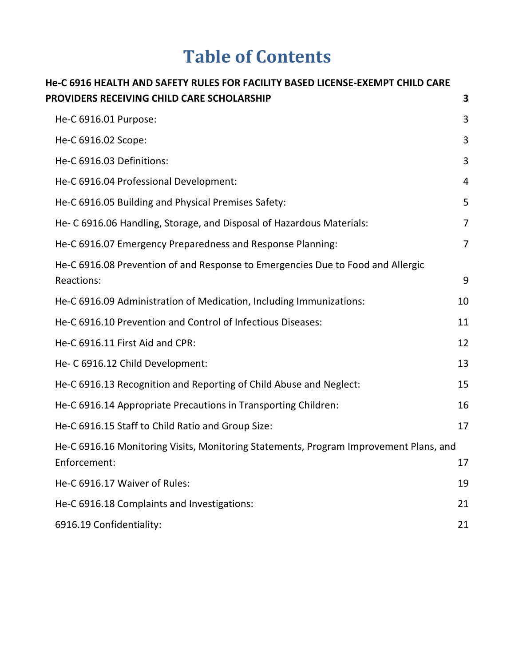## **Table of Contents**

| He-C 6916 HEALTH AND SAFETY RULES FOR FACILITY BASED LICENSE-EXEMPT CHILD CARE                        |                |
|-------------------------------------------------------------------------------------------------------|----------------|
| PROVIDERS RECEIVING CHILD CARE SCHOLARSHIP                                                            | 3              |
| He-C 6916.01 Purpose:                                                                                 | 3              |
| He-C 6916.02 Scope:                                                                                   | 3              |
| He-C 6916.03 Definitions:                                                                             | 3              |
| He-C 6916.04 Professional Development:                                                                | 4              |
| He-C 6916.05 Building and Physical Premises Safety:                                                   | 5              |
| He- C 6916.06 Handling, Storage, and Disposal of Hazardous Materials:                                 | $\overline{7}$ |
| He-C 6916.07 Emergency Preparedness and Response Planning:                                            | $\overline{7}$ |
| He-C 6916.08 Prevention of and Response to Emergencies Due to Food and Allergic<br>Reactions:         | 9              |
| He-C 6916.09 Administration of Medication, Including Immunizations:                                   | 10             |
| He-C 6916.10 Prevention and Control of Infectious Diseases:                                           | 11             |
| He-C 6916.11 First Aid and CPR:                                                                       | 12             |
| He- C 6916.12 Child Development:                                                                      | 13             |
| He-C 6916.13 Recognition and Reporting of Child Abuse and Neglect:                                    | 15             |
| He-C 6916.14 Appropriate Precautions in Transporting Children:                                        | 16             |
| He-C 6916.15 Staff to Child Ratio and Group Size:                                                     | 17             |
| He-C 6916.16 Monitoring Visits, Monitoring Statements, Program Improvement Plans, and<br>Enforcement: | 17             |
| He-C 6916.17 Waiver of Rules:                                                                         | 19             |
| He-C 6916.18 Complaints and Investigations:                                                           | 21             |
| 6916.19 Confidentiality:                                                                              | 21             |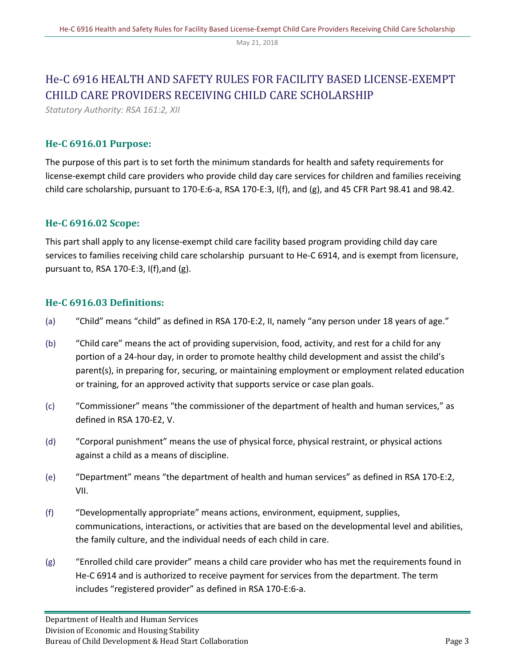## <span id="page-2-0"></span>He-C 6916 HEALTH AND SAFETY RULES FOR FACILITY BASED LICENSE-EXEMPT CHILD CARE PROVIDERS RECEIVING CHILD CARE SCHOLARSHIP

*Statutory Authority: RSA 161:2, XII*

## <span id="page-2-1"></span>**He-C 6916.01 Purpose:**

The purpose of this part is to set forth the minimum standards for health and safety requirements for license-exempt child care providers who provide child day care services for children and families receiving child care scholarship, pursuant to 170-E:6-a, RSA 170-E:3, I(f), and (g), and 45 CFR Part 98.41 and 98.42.

## <span id="page-2-2"></span>**He-C 6916.02 Scope:**

This part shall apply to any license-exempt child care facility based program providing child day care services to families receiving child care scholarship pursuant to He-C 6914, and is exempt from licensure, pursuant to, RSA 170-E:3, I(f),and (g).

## <span id="page-2-3"></span>**He-C 6916.03 Definitions:**

- (a) "Child" means "child" as defined in RSA 170-E:2, II, namely "any person under 18 years of age."
- (b) "Child care" means the act of providing supervision, food, activity, and rest for a child for any portion of a 24-hour day, in order to promote healthy child development and assist the child's parent(s), in preparing for, securing, or maintaining employment or employment related education or training, for an approved activity that supports service or case plan goals.
- (c) "Commissioner" means "the commissioner of the department of health and human services," as defined in RSA 170-E2, V.
- (d) "Corporal punishment" means the use of physical force, physical restraint, or physical actions against a child as a means of discipline.
- (e) "Department" means "the department of health and human services" as defined in RSA 170-E:2, VII.
- (f) "Developmentally appropriate" means actions, environment, equipment, supplies, communications, interactions, or activities that are based on the developmental level and abilities, the family culture, and the individual needs of each child in care.
- (g) "Enrolled child care provider" means a child care provider who has met the requirements found in He-C 6914 and is authorized to receive payment for services from the department. The term includes "registered provider" as defined in RSA 170-E:6-a.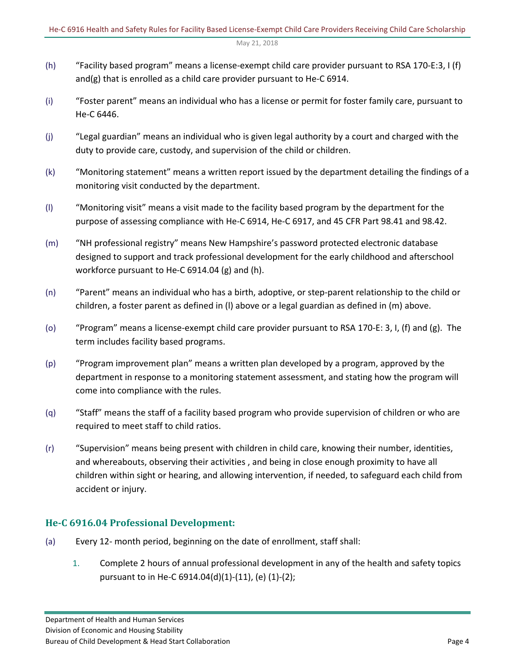- (h) "Facility based program" means a license-exempt child care provider pursuant to RSA 170-E:3, I (f) and(g) that is enrolled as a child care provider pursuant to He-C 6914.
- (i) "Foster parent" means an individual who has a license or permit for foster family care, pursuant to He-C 6446.
- (j) "Legal guardian" means an individual who is given legal authority by a court and charged with the duty to provide care, custody, and supervision of the child or children.
- (k) "Monitoring statement" means a written report issued by the department detailing the findings of a monitoring visit conducted by the department.
- (l) "Monitoring visit" means a visit made to the facility based program by the department for the purpose of assessing compliance with He-C 6914, He-C 6917, and 45 CFR Part 98.41 and 98.42.
- (m) "NH professional registry" means New Hampshire's password protected electronic database designed to support and track professional development for the early childhood and afterschool workforce pursuant to He-C 6914.04 (g) and (h).
- (n) "Parent" means an individual who has a birth, adoptive, or step-parent relationship to the child or children, a foster parent as defined in (l) above or a legal guardian as defined in (m) above.
- (o) "Program" means a license-exempt child care provider pursuant to RSA 170-E: 3, I, (f) and (g). The term includes facility based programs.
- (p) "Program improvement plan" means a written plan developed by a program, approved by the department in response to a monitoring statement assessment, and stating how the program will come into compliance with the rules.
- (q) "Staff" means the staff of a facility based program who provide supervision of children or who are required to meet staff to child ratios.
- (r) "Supervision" means being present with children in child care, knowing their number, identities, and whereabouts, observing their activities , and being in close enough proximity to have all children within sight or hearing, and allowing intervention, if needed, to safeguard each child from accident or injury.

## <span id="page-3-0"></span>**He-C 6916.04 Professional Development:**

- (a) Every 12- month period, beginning on the date of enrollment, staff shall:
	- 1. Complete 2 hours of annual professional development in any of the health and safety topics pursuant to in He-C 6914.04(d)(1)-(11), (e) (1)-(2);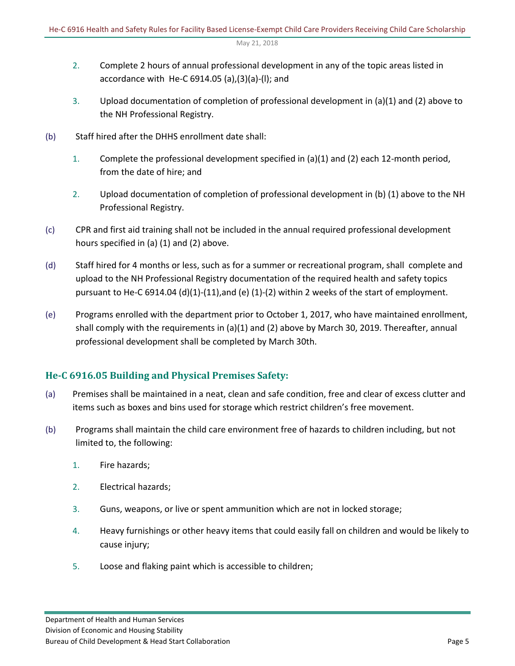- 2. Complete 2 hours of annual professional development in any of the topic areas listed in accordance with He-C 6914.05 (a),(3)(a)-(l); and
- 3. Upload documentation of completion of professional development in (a)(1) and (2) above to the NH Professional Registry.
- (b) Staff hired after the DHHS enrollment date shall:
	- 1. Complete the professional development specified in (a)(1) and (2) each 12-month period, from the date of hire; and
	- 2. Upload documentation of completion of professional development in (b) (1) above to the NH Professional Registry.
- (c) CPR and first aid training shall not be included in the annual required professional development hours specified in (a) (1) and (2) above.
- (d) Staff hired for 4 months or less, such as for a summer or recreational program, shall complete and upload to the NH Professional Registry documentation of the required health and safety topics pursuant to He-C 6914.04 (d)(1)-(11),and (e) (1)-(2) within 2 weeks of the start of employment.
- (e) Programs enrolled with the department prior to October 1, 2017, who have maintained enrollment, shall comply with the requirements in (a)(1) and (2) above by March 30, 2019. Thereafter, annual professional development shall be completed by March 30th.

## <span id="page-4-0"></span>**He-C 6916.05 Building and Physical Premises Safety:**

- (a) Premises shall be maintained in a neat, clean and safe condition, free and clear of excess clutter and items such as boxes and bins used for storage which restrict children's free movement.
- (b) Programs shall maintain the child care environment free of hazards to children including, but not limited to, the following:
	- 1. Fire hazards;
	- 2. Electrical hazards;
	- 3. Guns, weapons, or live or spent ammunition which are not in locked storage;
	- 4. Heavy furnishings or other heavy items that could easily fall on children and would be likely to cause injury;
	- 5. Loose and flaking paint which is accessible to children;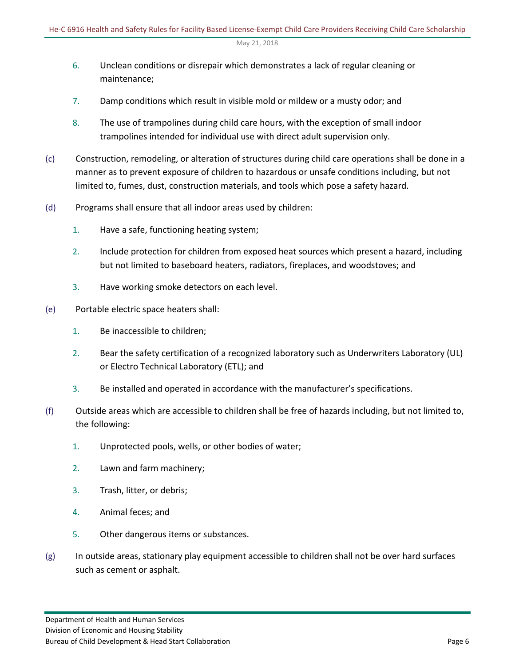- 6. Unclean conditions or disrepair which demonstrates a lack of regular cleaning or maintenance;
- 7. Damp conditions which result in visible mold or mildew or a musty odor; and
- 8. The use of trampolines during child care hours, with the exception of small indoor trampolines intended for individual use with direct adult supervision only.
- (c) Construction, remodeling, or alteration of structures during child care operations shall be done in a manner as to prevent exposure of children to hazardous or unsafe conditions including, but not limited to, fumes, dust, construction materials, and tools which pose a safety hazard.
- (d) Programs shall ensure that all indoor areas used by children:
	- 1. Have a safe, functioning heating system;
	- 2. Include protection for children from exposed heat sources which present a hazard, including but not limited to baseboard heaters, radiators, fireplaces, and woodstoves; and
	- 3. Have working smoke detectors on each level.
- (e) Portable electric space heaters shall:
	- 1. Be inaccessible to children;
	- 2. Bear the safety certification of a recognized laboratory such as Underwriters Laboratory (UL) or Electro Technical Laboratory (ETL); and
	- 3. Be installed and operated in accordance with the manufacturer's specifications.
- (f) Outside areas which are accessible to children shall be free of hazards including, but not limited to, the following:
	- 1. Unprotected pools, wells, or other bodies of water;
	- 2. Lawn and farm machinery;
	- 3. Trash, litter, or debris;
	- 4. Animal feces; and
	- 5. Other dangerous items or substances.
- (g) In outside areas, stationary play equipment accessible to children shall not be over hard surfaces such as cement or asphalt.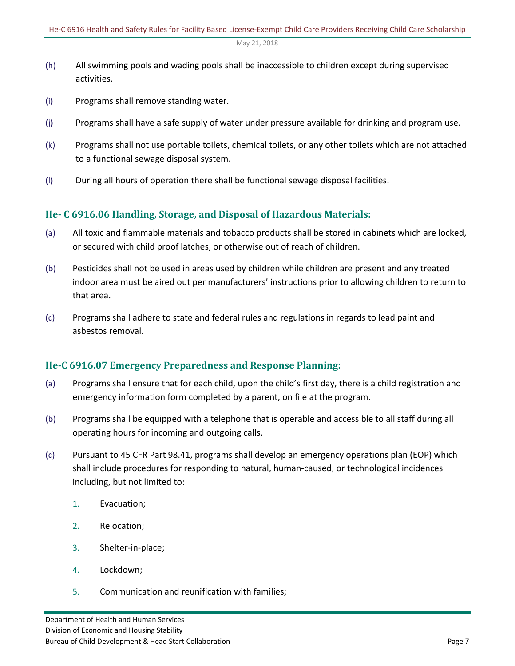- (h) All swimming pools and wading pools shall be inaccessible to children except during supervised activities.
- (i) Programs shall remove standing water.
- (j) Programs shall have a safe supply of water under pressure available for drinking and program use.
- (k) Programs shall not use portable toilets, chemical toilets, or any other toilets which are not attached to a functional sewage disposal system.
- (l) During all hours of operation there shall be functional sewage disposal facilities.

## <span id="page-6-0"></span>**He- C 6916.06 Handling, Storage, and Disposal of Hazardous Materials:**

- (a) All toxic and flammable materials and tobacco products shall be stored in cabinets which are locked, or secured with child proof latches, or otherwise out of reach of children.
- (b) Pesticides shall not be used in areas used by children while children are present and any treated indoor area must be aired out per manufacturers' instructions prior to allowing children to return to that area.
- (c) Programs shall adhere to state and federal rules and regulations in regards to lead paint and asbestos removal.

## <span id="page-6-1"></span>**He-C 6916.07 Emergency Preparedness and Response Planning:**

- (a) Programs shall ensure that for each child, upon the child's first day, there is a child registration and emergency information form completed by a parent, on file at the program.
- (b) Programs shall be equipped with a telephone that is operable and accessible to all staff during all operating hours for incoming and outgoing calls.
- (c) Pursuant to 45 CFR Part 98.41, programs shall develop an emergency operations plan (EOP) which shall include procedures for responding to natural, human-caused, or technological incidences including, but not limited to:
	- 1. Evacuation;
	- 2. Relocation;
	- 3. Shelter-in-place;
	- 4. Lockdown;
	- 5. Communication and reunification with families;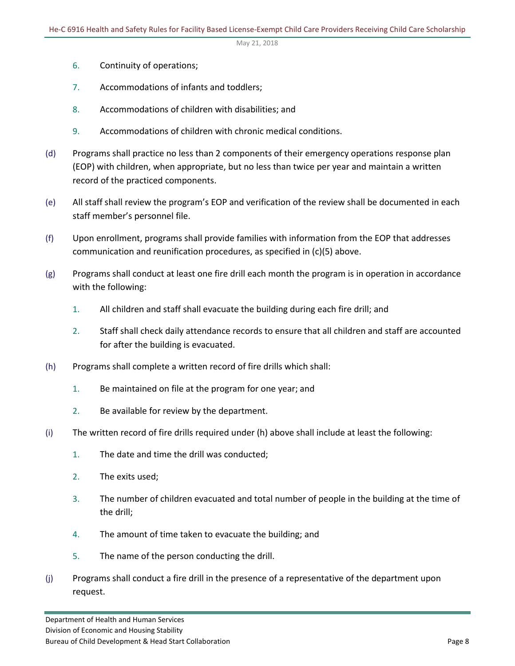- 6. Continuity of operations;
- 7. Accommodations of infants and toddlers;
- 8. Accommodations of children with disabilities; and
- 9. Accommodations of children with chronic medical conditions.
- (d) Programs shall practice no less than 2 components of their emergency operations response plan (EOP) with children, when appropriate, but no less than twice per year and maintain a written record of the practiced components.
- (e) All staff shall review the program's EOP and verification of the review shall be documented in each staff member's personnel file.
- (f) Upon enrollment, programs shall provide families with information from the EOP that addresses communication and reunification procedures, as specified in (c)(5) above.
- (g) Programs shall conduct at least one fire drill each month the program is in operation in accordance with the following:
	- 1. All children and staff shall evacuate the building during each fire drill; and
	- 2. Staff shall check daily attendance records to ensure that all children and staff are accounted for after the building is evacuated.
- (h) Programs shall complete a written record of fire drills which shall:
	- 1. Be maintained on file at the program for one year; and
	- 2. Be available for review by the department.
- (i) The written record of fire drills required under (h) above shall include at least the following:
	- 1. The date and time the drill was conducted;
	- 2. The exits used;
	- 3. The number of children evacuated and total number of people in the building at the time of the drill;
	- 4. The amount of time taken to evacuate the building; and
	- 5. The name of the person conducting the drill.
- (j) Programs shall conduct a fire drill in the presence of a representative of the department upon request.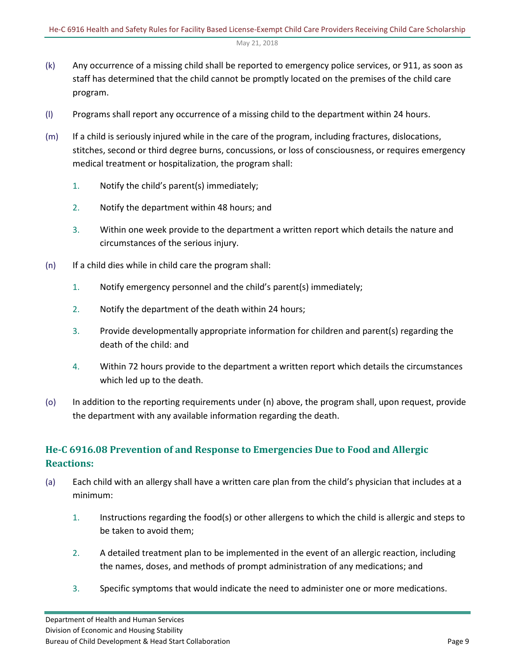- (k) Any occurrence of a missing child shall be reported to emergency police services, or 911, as soon as staff has determined that the child cannot be promptly located on the premises of the child care program.
- (l) Programs shall report any occurrence of a missing child to the department within 24 hours.
- (m) If a child is seriously injured while in the care of the program, including fractures, dislocations, stitches, second or third degree burns, concussions, or loss of consciousness, or requires emergency medical treatment or hospitalization, the program shall:
	- 1. Notify the child's parent(s) immediately;
	- 2. Notify the department within 48 hours; and
	- 3. Within one week provide to the department a written report which details the nature and circumstances of the serious injury.
- (n) If a child dies while in child care the program shall:
	- 1. Notify emergency personnel and the child's parent(s) immediately;
	- 2. Notify the department of the death within 24 hours;
	- 3. Provide developmentally appropriate information for children and parent(s) regarding the death of the child: and
	- 4. Within 72 hours provide to the department a written report which details the circumstances which led up to the death.
- (o) In addition to the reporting requirements under (n) above, the program shall, upon request, provide the department with any available information regarding the death.

## <span id="page-8-0"></span>**He-C 6916.08 Prevention of and Response to Emergencies Due to Food and Allergic Reactions:**

- (a) Each child with an allergy shall have a written care plan from the child's physician that includes at a minimum:
	- 1. Instructions regarding the food(s) or other allergens to which the child is allergic and steps to be taken to avoid them;
	- 2. A detailed treatment plan to be implemented in the event of an allergic reaction, including the names, doses, and methods of prompt administration of any medications; and
	- 3. Specific symptoms that would indicate the need to administer one or more medications.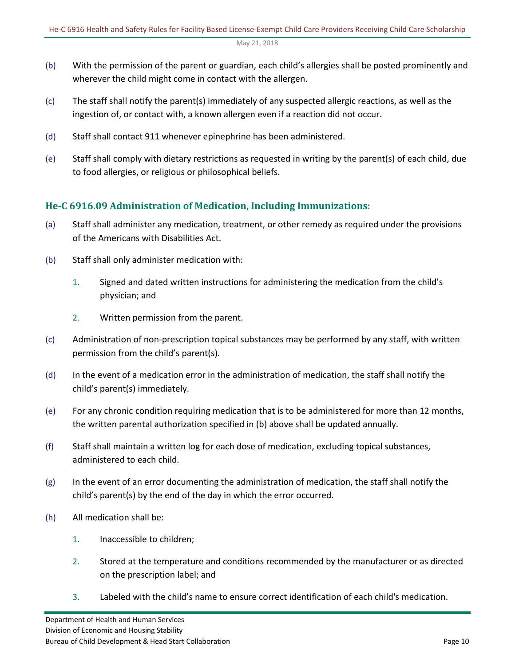- (b) With the permission of the parent or guardian, each child's allergies shall be posted prominently and wherever the child might come in contact with the allergen.
- (c) The staff shall notify the parent(s) immediately of any suspected allergic reactions, as well as the ingestion of, or contact with, a known allergen even if a reaction did not occur.
- (d) Staff shall contact 911 whenever epinephrine has been administered.
- (e) Staff shall comply with dietary restrictions as requested in writing by the parent(s) of each child, due to food allergies, or religious or philosophical beliefs.

## <span id="page-9-0"></span>**He-C 6916.09 Administration of Medication, Including Immunizations:**

- (a) Staff shall administer any medication, treatment, or other remedy as required under the provisions of the Americans with Disabilities Act.
- (b) Staff shall only administer medication with:
	- 1. Signed and dated written instructions for administering the medication from the child's physician; and
	- 2. Written permission from the parent.
- (c) Administration of non-prescription topical substances may be performed by any staff, with written permission from the child's parent(s).
- (d) In the event of a medication error in the administration of medication, the staff shall notify the child's parent(s) immediately.
- (e) For any chronic condition requiring medication that is to be administered for more than 12 months, the written parental authorization specified in (b) above shall be updated annually.
- (f) Staff shall maintain a written log for each dose of medication, excluding topical substances, administered to each child.
- (g) In the event of an error documenting the administration of medication, the staff shall notify the child's parent(s) by the end of the day in which the error occurred.
- (h) All medication shall be:
	- 1. Inaccessible to children;
	- 2. Stored at the temperature and conditions recommended by the manufacturer or as directed on the prescription label; and
	- 3. Labeled with the child's name to ensure correct identification of each child's medication.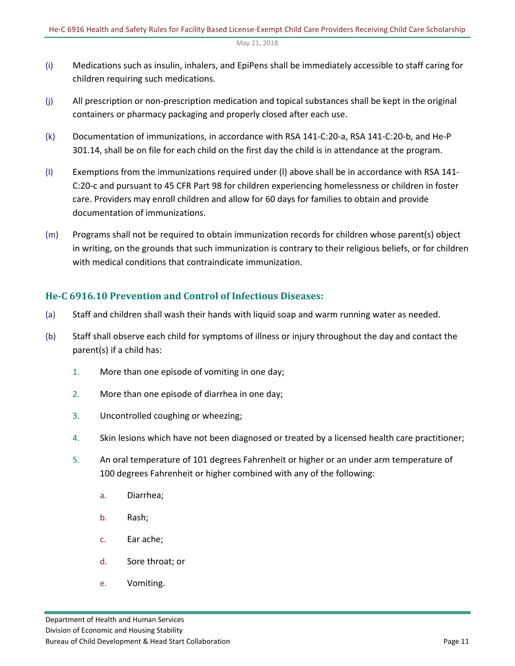- (i) Medications such as insulin, inhalers, and EpiPens shall be immediately accessible to staff caring for children requiring such medications.
- (j) All prescription or non-prescription medication and topical substances shall be kept in the original containers or pharmacy packaging and properly closed after each use.
- (k) Documentation of immunizations, in accordance with RSA 141-C:20-a, RSA 141-C:20-b, and He-P 301.14, shall be on file for each child on the first day the child is in attendance at the program.
- (l) Exemptions from the immunizations required under (l) above shall be in accordance with RSA 141- C:20-c and pursuant to 45 CFR Part 98 for children experiencing homelessness or children in foster care. Providers may enroll children and allow for 60 days for families to obtain and provide documentation of immunizations.
- (m) Programs shall not be required to obtain immunization records for children whose parent(s) object in writing, on the grounds that such immunization is contrary to their religious beliefs, or for children with medical conditions that contraindicate immunization.

## <span id="page-10-0"></span>**He-C 6916.10 Prevention and Control of Infectious Diseases:**

- (a) Staff and children shall wash their hands with liquid soap and warm running water as needed.
- (b) Staff shall observe each child for symptoms of illness or injury throughout the day and contact the parent(s) if a child has:
	- 1. More than one episode of vomiting in one day;
	- 2. More than one episode of diarrhea in one day;
	- 3. Uncontrolled coughing or wheezing;
	- 4. Skin lesions which have not been diagnosed or treated by a licensed health care practitioner;
	- 5. An oral temperature of 101 degrees Fahrenheit or higher or an under arm temperature of 100 degrees Fahrenheit or higher combined with any of the following:
		- a. Diarrhea;
		- b. Rash;
		- c. Ear ache;
		- d. Sore throat; or
		- e. Vomiting.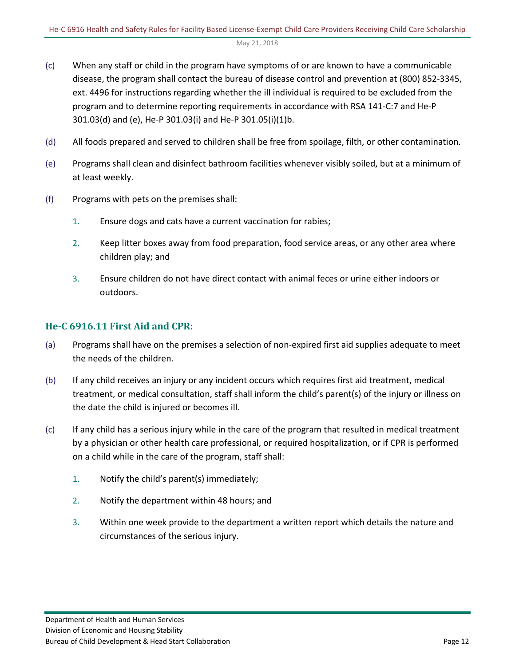- (c) When any staff or child in the program have symptoms of or are known to have a communicable disease, the program shall contact the bureau of disease control and prevention at (800) 852-3345, ext. 4496 for instructions regarding whether the ill individual is required to be excluded from the program and to determine reporting requirements in accordance with RSA 141-C:7 and He-P 301.03(d) and (e), He-P 301.03(i) and He-P 301.05(i)(1)b.
- (d) All foods prepared and served to children shall be free from spoilage, filth, or other contamination.
- (e) Programs shall clean and disinfect bathroom facilities whenever visibly soiled, but at a minimum of at least weekly.
- (f) Programs with pets on the premises shall:
	- 1. Ensure dogs and cats have a current vaccination for rabies;
	- 2. Keep litter boxes away from food preparation, food service areas, or any other area where children play; and
	- 3. Ensure children do not have direct contact with animal feces or urine either indoors or outdoors.

### <span id="page-11-0"></span>**He-C 6916.11 First Aid and CPR:**

- (a) Programs shall have on the premises a selection of non-expired first aid supplies adequate to meet the needs of the children.
- (b) If any child receives an injury or any incident occurs which requires first aid treatment, medical treatment, or medical consultation, staff shall inform the child's parent(s) of the injury or illness on the date the child is injured or becomes ill.
- (c) If any child has a serious injury while in the care of the program that resulted in medical treatment by a physician or other health care professional, or required hospitalization, or if CPR is performed on a child while in the care of the program, staff shall:
	- 1. Notify the child's parent(s) immediately;
	- 2. Notify the department within 48 hours; and
	- 3. Within one week provide to the department a written report which details the nature and circumstances of the serious injury.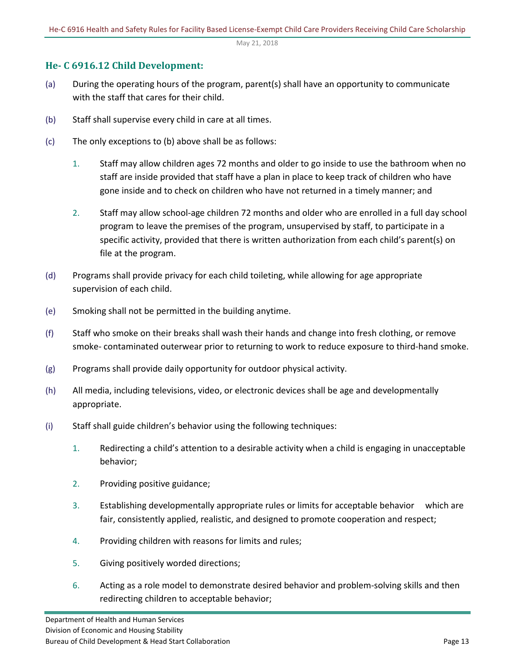## <span id="page-12-0"></span>**He- C 6916.12 Child Development:**

- (a) During the operating hours of the program, parent(s) shall have an opportunity to communicate with the staff that cares for their child.
- (b) Staff shall supervise every child in care at all times.
- (c) The only exceptions to (b) above shall be as follows:
	- 1. Staff may allow children ages 72 months and older to go inside to use the bathroom when no staff are inside provided that staff have a plan in place to keep track of children who have gone inside and to check on children who have not returned in a timely manner; and
	- 2. Staff may allow school-age children 72 months and older who are enrolled in a full day school program to leave the premises of the program, unsupervised by staff, to participate in a specific activity, provided that there is written authorization from each child's parent(s) on file at the program.
- (d) Programs shall provide privacy for each child toileting, while allowing for age appropriate supervision of each child.
- (e) Smoking shall not be permitted in the building anytime.
- (f) Staff who smoke on their breaks shall wash their hands and change into fresh clothing, or remove smoke- contaminated outerwear prior to returning to work to reduce exposure to third-hand smoke.
- (g) Programs shall provide daily opportunity for outdoor physical activity.
- (h) All media, including televisions, video, or electronic devices shall be age and developmentally appropriate.
- (i) Staff shall guide children's behavior using the following techniques:
	- 1. Redirecting a child's attention to a desirable activity when a child is engaging in unacceptable behavior;
	- 2. Providing positive guidance;
	- 3. Establishing developmentally appropriate rules or limits for acceptable behavior which are fair, consistently applied, realistic, and designed to promote cooperation and respect;
	- 4. Providing children with reasons for limits and rules;
	- 5. Giving positively worded directions;
	- 6. Acting as a role model to demonstrate desired behavior and problem-solving skills and then redirecting children to acceptable behavior;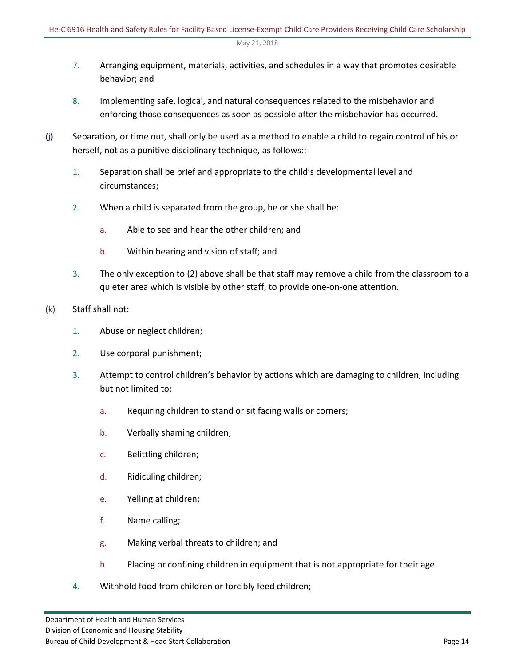- 7. Arranging equipment, materials, activities, and schedules in a way that promotes desirable behavior; and
- 8. Implementing safe, logical, and natural consequences related to the misbehavior and enforcing those consequences as soon as possible after the misbehavior has occurred.
- (j) Separation, or time out, shall only be used as a method to enable a child to regain control of his or herself, not as a punitive disciplinary technique, as follows::
	- 1. Separation shall be brief and appropriate to the child's developmental level and circumstances;
	- 2. When a child is separated from the group, he or she shall be:
		- a. Able to see and hear the other children; and
		- b. Within hearing and vision of staff; and
	- 3. The only exception to (2) above shall be that staff may remove a child from the classroom to a quieter area which is visible by other staff, to provide one-on-one attention.
- (k) Staff shall not:
	- 1. Abuse or neglect children;
	- 2. Use corporal punishment;
	- 3. Attempt to control children's behavior by actions which are damaging to children, including but not limited to:
		- a. Requiring children to stand or sit facing walls or corners;
		- b. Verbally shaming children;
		- c. Belittling children;
		- d. Ridiculing children;
		- e. Yelling at children;
		- f. Name calling;
		- g. Making verbal threats to children; and
		- h. Placing or confining children in equipment that is not appropriate for their age.
	- 4. Withhold food from children or forcibly feed children;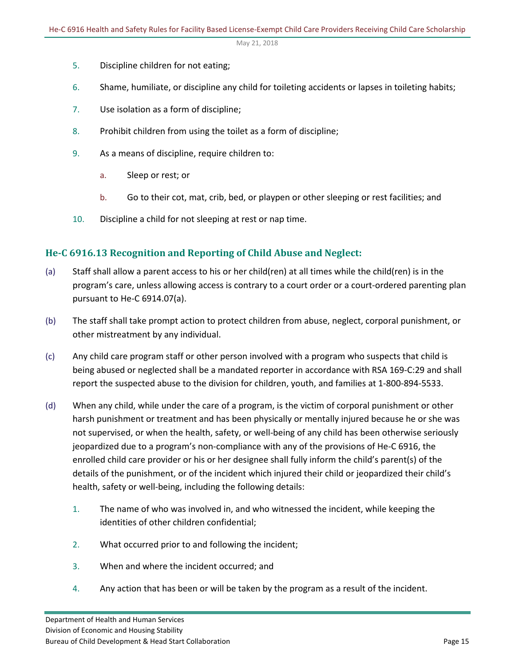- 5. Discipline children for not eating;
- 6. Shame, humiliate, or discipline any child for toileting accidents or lapses in toileting habits;
- 7. Use isolation as a form of discipline;
- 8. Prohibit children from using the toilet as a form of discipline;
- 9. As a means of discipline, require children to:
	- a. Sleep or rest; or
	- b. Go to their cot, mat, crib, bed, or playpen or other sleeping or rest facilities; and
- 10. Discipline a child for not sleeping at rest or nap time.

## <span id="page-14-0"></span>**He-C 6916.13 Recognition and Reporting of Child Abuse and Neglect:**

- (a) Staff shall allow a parent access to his or her child(ren) at all times while the child(ren) is in the program's care, unless allowing access is contrary to a court order or a court-ordered parenting plan pursuant to He-C 6914.07(a).
- (b) The staff shall take prompt action to protect children from abuse, neglect, corporal punishment, or other mistreatment by any individual.
- (c) Any child care program staff or other person involved with a program who suspects that child is being abused or neglected shall be a mandated reporter in accordance with RSA 169-C:29 and shall report the suspected abuse to the division for children, youth, and families at 1-800-894-5533.
- (d) When any child, while under the care of a program, is the victim of corporal punishment or other harsh punishment or treatment and has been physically or mentally injured because he or she was not supervised, or when the health, safety, or well-being of any child has been otherwise seriously jeopardized due to a program's non-compliance with any of the provisions of He-C 6916, the enrolled child care provider or his or her designee shall fully inform the child's parent(s) of the details of the punishment, or of the incident which injured their child or jeopardized their child's health, safety or well-being, including the following details:
	- 1. The name of who was involved in, and who witnessed the incident, while keeping the identities of other children confidential;
	- 2. What occurred prior to and following the incident;
	- 3. When and where the incident occurred; and
	- 4. Any action that has been or will be taken by the program as a result of the incident.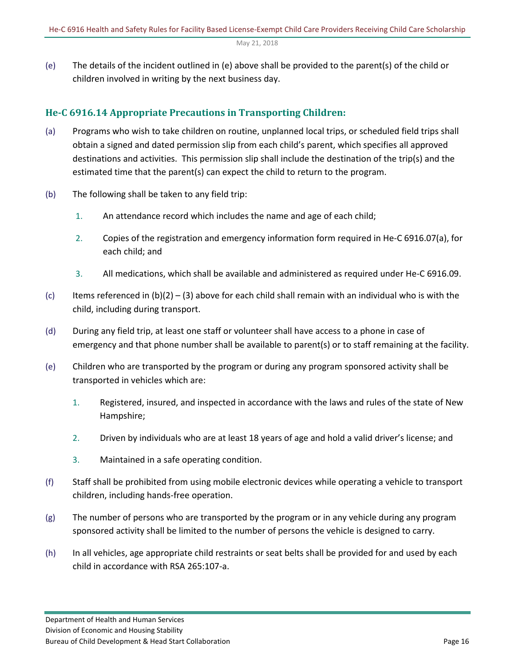(e) The details of the incident outlined in (e) above shall be provided to the parent(s) of the child or children involved in writing by the next business day.

## <span id="page-15-0"></span>**He-C 6916.14 Appropriate Precautions in Transporting Children:**

- (a) Programs who wish to take children on routine, unplanned local trips, or scheduled field trips shall obtain a signed and dated permission slip from each child's parent, which specifies all approved destinations and activities. This permission slip shall include the destination of the trip(s) and the estimated time that the parent(s) can expect the child to return to the program.
- (b) The following shall be taken to any field trip:
	- 1. An attendance record which includes the name and age of each child;
	- 2. Copies of the registration and emergency information form required in He-C 6916.07(a), for each child; and
	- 3. All medications, which shall be available and administered as required under He-C 6916.09.
- (c) Items referenced in  $(b)(2) (3)$  above for each child shall remain with an individual who is with the child, including during transport.
- (d) During any field trip, at least one staff or volunteer shall have access to a phone in case of emergency and that phone number shall be available to parent(s) or to staff remaining at the facility.
- (e) Children who are transported by the program or during any program sponsored activity shall be transported in vehicles which are:
	- 1. Registered, insured, and inspected in accordance with the laws and rules of the state of New Hampshire;
	- 2. Driven by individuals who are at least 18 years of age and hold a valid driver's license; and
	- 3. Maintained in a safe operating condition.
- (f) Staff shall be prohibited from using mobile electronic devices while operating a vehicle to transport children, including hands-free operation.
- (g) The number of persons who are transported by the program or in any vehicle during any program sponsored activity shall be limited to the number of persons the vehicle is designed to carry.
- (h) In all vehicles, age appropriate child restraints or seat belts shall be provided for and used by each child in accordance with RSA 265:107-a.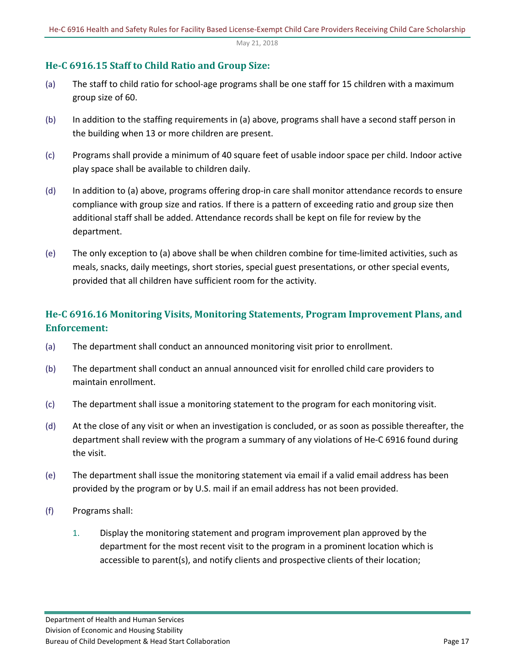## <span id="page-16-0"></span>**He-C 6916.15 Staff to Child Ratio and Group Size:**

- (a) The staff to child ratio for school-age programs shall be one staff for 15 children with a maximum group size of 60.
- (b) In addition to the staffing requirements in (a) above, programs shall have a second staff person in the building when 13 or more children are present.
- (c) Programs shall provide a minimum of 40 square feet of usable indoor space per child. Indoor active play space shall be available to children daily.
- (d) In addition to (a) above, programs offering drop-in care shall monitor attendance records to ensure compliance with group size and ratios. If there is a pattern of exceeding ratio and group size then additional staff shall be added. Attendance records shall be kept on file for review by the department.
- (e) The only exception to (a) above shall be when children combine for time-limited activities, such as meals, snacks, daily meetings, short stories, special guest presentations, or other special events, provided that all children have sufficient room for the activity.

## <span id="page-16-1"></span>**He-C 6916.16 Monitoring Visits, Monitoring Statements, Program Improvement Plans, and Enforcement:**

- (a) The department shall conduct an announced monitoring visit prior to enrollment.
- (b) The department shall conduct an annual announced visit for enrolled child care providers to maintain enrollment.
- (c) The department shall issue a monitoring statement to the program for each monitoring visit.
- (d) At the close of any visit or when an investigation is concluded, or as soon as possible thereafter, the department shall review with the program a summary of any violations of He-C 6916 found during the visit.
- (e) The department shall issue the monitoring statement via email if a valid email address has been provided by the program or by U.S. mail if an email address has not been provided.
- (f) Programs shall:
	- 1. Display the monitoring statement and program improvement plan approved by the department for the most recent visit to the program in a prominent location which is accessible to parent(s), and notify clients and prospective clients of their location;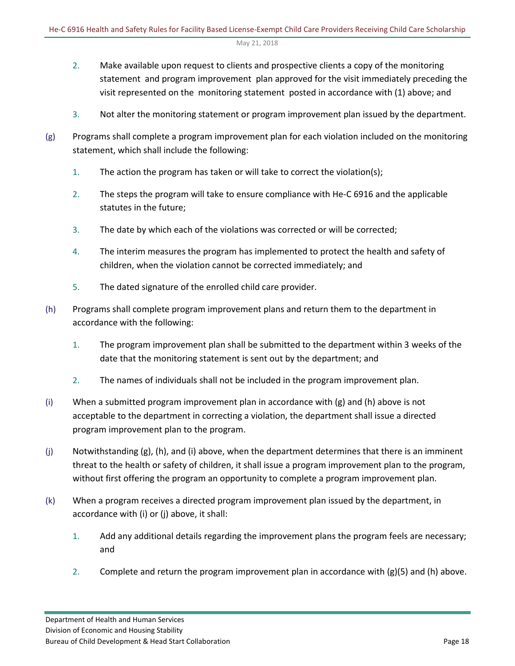- 2. Make available upon request to clients and prospective clients a copy of the monitoring statement and program improvement plan approved for the visit immediately preceding the visit represented on the monitoring statement posted in accordance with (1) above; and
- 3. Not alter the monitoring statement or program improvement plan issued by the department.
- (g) Programs shall complete a program improvement plan for each violation included on the monitoring statement, which shall include the following:
	- 1. The action the program has taken or will take to correct the violation(s);
	- 2. The steps the program will take to ensure compliance with He-C 6916 and the applicable statutes in the future;
	- 3. The date by which each of the violations was corrected or will be corrected;
	- 4. The interim measures the program has implemented to protect the health and safety of children, when the violation cannot be corrected immediately; and
	- 5. The dated signature of the enrolled child care provider.
- (h) Programs shall complete program improvement plans and return them to the department in accordance with the following:
	- 1. The program improvement plan shall be submitted to the department within 3 weeks of the date that the monitoring statement is sent out by the department; and
	- 2. The names of individuals shall not be included in the program improvement plan.
- (i) When a submitted program improvement plan in accordance with (g) and (h) above is not acceptable to the department in correcting a violation, the department shall issue a directed program improvement plan to the program.
- $(j)$  Notwithstanding  $(g)$ ,  $(h)$ , and  $(i)$  above, when the department determines that there is an imminent threat to the health or safety of children, it shall issue a program improvement plan to the program, without first offering the program an opportunity to complete a program improvement plan.
- (k) When a program receives a directed program improvement plan issued by the department, in accordance with (i) or (j) above, it shall:
	- 1. Add any additional details regarding the improvement plans the program feels are necessary; and
	- 2. Complete and return the program improvement plan in accordance with (g)(5) and (h) above.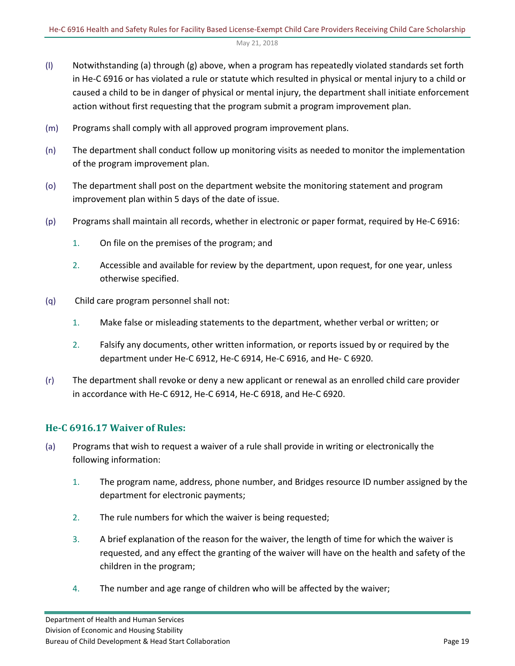- (l) Notwithstanding (a) through (g) above, when a program has repeatedly violated standards set forth in He-C 6916 or has violated a rule or statute which resulted in physical or mental injury to a child or caused a child to be in danger of physical or mental injury, the department shall initiate enforcement action without first requesting that the program submit a program improvement plan.
- (m) Programs shall comply with all approved program improvement plans.
- (n) The department shall conduct follow up monitoring visits as needed to monitor the implementation of the program improvement plan.
- (o) The department shall post on the department website the monitoring statement and program improvement plan within 5 days of the date of issue.
- (p) Programs shall maintain all records, whether in electronic or paper format, required by He-C 6916:
	- 1. On file on the premises of the program; and
	- 2. Accessible and available for review by the department, upon request, for one year, unless otherwise specified.
- (q) Child care program personnel shall not:
	- 1. Make false or misleading statements to the department, whether verbal or written; or
	- 2. Falsify any documents, other written information, or reports issued by or required by the department under He-C 6912, He-C 6914, He-C 6916, and He- C 6920.
- (r) The department shall revoke or deny a new applicant or renewal as an enrolled child care provider in accordance with He-C 6912, He-C 6914, He-C 6918, and He-C 6920.

## <span id="page-18-0"></span>**He-C 6916.17 Waiver of Rules:**

- (a) Programs that wish to request a waiver of a rule shall provide in writing or electronically the following information:
	- 1. The program name, address, phone number, and Bridges resource ID number assigned by the department for electronic payments;
	- 2. The rule numbers for which the waiver is being requested;
	- 3. A brief explanation of the reason for the waiver, the length of time for which the waiver is requested, and any effect the granting of the waiver will have on the health and safety of the children in the program;
	- 4. The number and age range of children who will be affected by the waiver;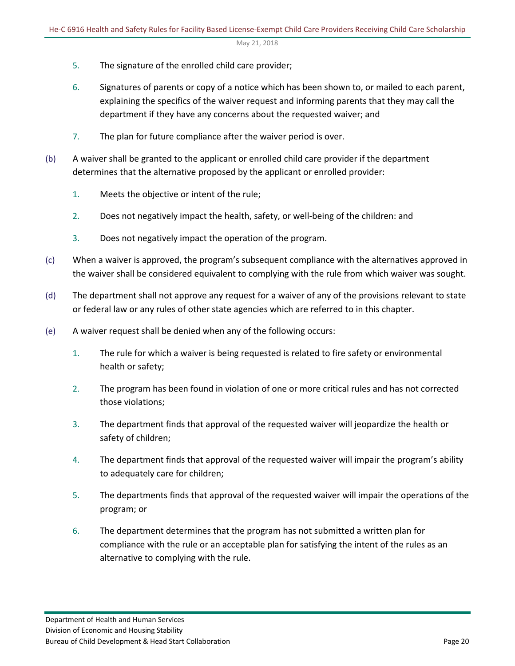- 5. The signature of the enrolled child care provider;
- 6. Signatures of parents or copy of a notice which has been shown to, or mailed to each parent, explaining the specifics of the waiver request and informing parents that they may call the department if they have any concerns about the requested waiver; and
- 7. The plan for future compliance after the waiver period is over.
- (b) A waiver shall be granted to the applicant or enrolled child care provider if the department determines that the alternative proposed by the applicant or enrolled provider:
	- 1. Meets the objective or intent of the rule;
	- 2. Does not negatively impact the health, safety, or well-being of the children: and
	- 3. Does not negatively impact the operation of the program.
- (c) When a waiver is approved, the program's subsequent compliance with the alternatives approved in the waiver shall be considered equivalent to complying with the rule from which waiver was sought.
- (d) The department shall not approve any request for a waiver of any of the provisions relevant to state or federal law or any rules of other state agencies which are referred to in this chapter.
- (e) A waiver request shall be denied when any of the following occurs:
	- 1. The rule for which a waiver is being requested is related to fire safety or environmental health or safety;
	- 2. The program has been found in violation of one or more critical rules and has not corrected those violations;
	- 3. The department finds that approval of the requested waiver will jeopardize the health or safety of children;
	- 4. The department finds that approval of the requested waiver will impair the program's ability to adequately care for children;
	- 5. The departments finds that approval of the requested waiver will impair the operations of the program; or
	- 6. The department determines that the program has not submitted a written plan for compliance with the rule or an acceptable plan for satisfying the intent of the rules as an alternative to complying with the rule.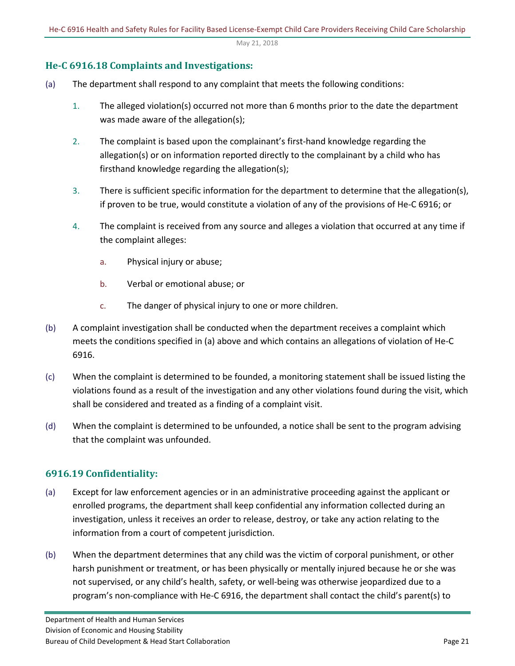## <span id="page-20-0"></span>**He-C 6916.18 Complaints and Investigations:**

- (a) The department shall respond to any complaint that meets the following conditions:
	- 1. The alleged violation(s) occurred not more than 6 months prior to the date the department was made aware of the allegation(s);
	- 2. The complaint is based upon the complainant's first-hand knowledge regarding the allegation(s) or on information reported directly to the complainant by a child who has firsthand knowledge regarding the allegation(s);
	- 3. There is sufficient specific information for the department to determine that the allegation(s), if proven to be true, would constitute a violation of any of the provisions of He-C 6916; or
	- 4. The complaint is received from any source and alleges a violation that occurred at any time if the complaint alleges:
		- a. Physical injury or abuse;
		- b. Verbal or emotional abuse; or
		- c. The danger of physical injury to one or more children.
- (b) A complaint investigation shall be conducted when the department receives a complaint which meets the conditions specified in (a) above and which contains an allegations of violation of He-C 6916.
- (c) When the complaint is determined to be founded, a monitoring statement shall be issued listing the violations found as a result of the investigation and any other violations found during the visit, which shall be considered and treated as a finding of a complaint visit.
- (d) When the complaint is determined to be unfounded, a notice shall be sent to the program advising that the complaint was unfounded.

## <span id="page-20-1"></span>**6916.19 Confidentiality:**

- (a) Except for law enforcement agencies or in an administrative proceeding against the applicant or enrolled programs, the department shall keep confidential any information collected during an investigation, unless it receives an order to release, destroy, or take any action relating to the information from a court of competent jurisdiction.
- (b) When the department determines that any child was the victim of corporal punishment, or other harsh punishment or treatment, or has been physically or mentally injured because he or she was not supervised, or any child's health, safety, or well-being was otherwise jeopardized due to a program's non-compliance with He-C 6916, the department shall contact the child's parent(s) to